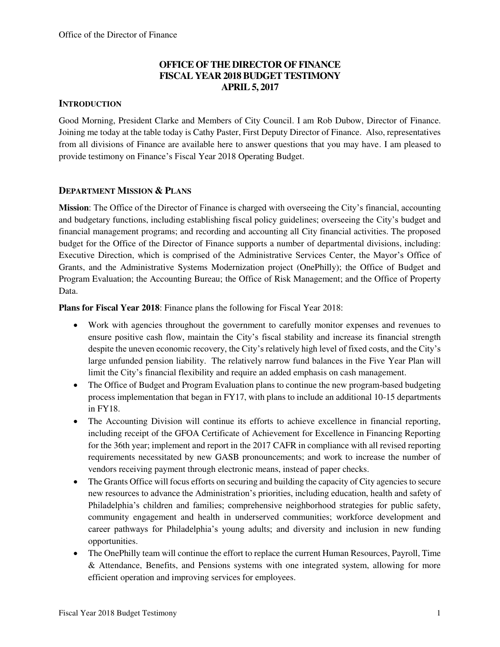### **OFFICE OF THE DIRECTOR OF FINANCE FISCAL YEAR 2018 BUDGET TESTIMONY APRIL 5, 2017**

#### **INTRODUCTION**

Good Morning, President Clarke and Members of City Council. I am Rob Dubow, Director of Finance. Joining me today at the table today is Cathy Paster, First Deputy Director of Finance. Also, representatives from all divisions of Finance are available here to answer questions that you may have. I am pleased to provide testimony on Finance's Fiscal Year 2018 Operating Budget.

#### **DEPARTMENT MISSION & PLANS**

**Mission**: The Office of the Director of Finance is charged with overseeing the City's financial, accounting and budgetary functions, including establishing fiscal policy guidelines; overseeing the City's budget and financial management programs; and recording and accounting all City financial activities. The proposed budget for the Office of the Director of Finance supports a number of departmental divisions, including: Executive Direction, which is comprised of the Administrative Services Center, the Mayor's Office of Grants, and the Administrative Systems Modernization project (OnePhilly); the Office of Budget and Program Evaluation; the Accounting Bureau; the Office of Risk Management; and the Office of Property Data.

**Plans for Fiscal Year 2018**: Finance plans the following for Fiscal Year 2018:

- Work with agencies throughout the government to carefully monitor expenses and revenues to ensure positive cash flow, maintain the City's fiscal stability and increase its financial strength despite the uneven economic recovery, the City's relatively high level of fixed costs, and the City's large unfunded pension liability. The relatively narrow fund balances in the Five Year Plan will limit the City's financial flexibility and require an added emphasis on cash management.
- The Office of Budget and Program Evaluation plans to continue the new program-based budgeting process implementation that began in FY17, with plans to include an additional 10-15 departments in FY18.
- The Accounting Division will continue its efforts to achieve excellence in financial reporting, including receipt of the GFOA Certificate of Achievement for Excellence in Financing Reporting for the 36th year; implement and report in the 2017 CAFR in compliance with all revised reporting requirements necessitated by new GASB pronouncements; and work to increase the number of vendors receiving payment through electronic means, instead of paper checks.
- The Grants Office will focus efforts on securing and building the capacity of City agencies to secure new resources to advance the Administration's priorities, including education, health and safety of Philadelphia's children and families; comprehensive neighborhood strategies for public safety, community engagement and health in underserved communities; workforce development and career pathways for Philadelphia's young adults; and diversity and inclusion in new funding opportunities.
- The OnePhilly team will continue the effort to replace the current Human Resources, Payroll, Time & Attendance, Benefits, and Pensions systems with one integrated system, allowing for more efficient operation and improving services for employees.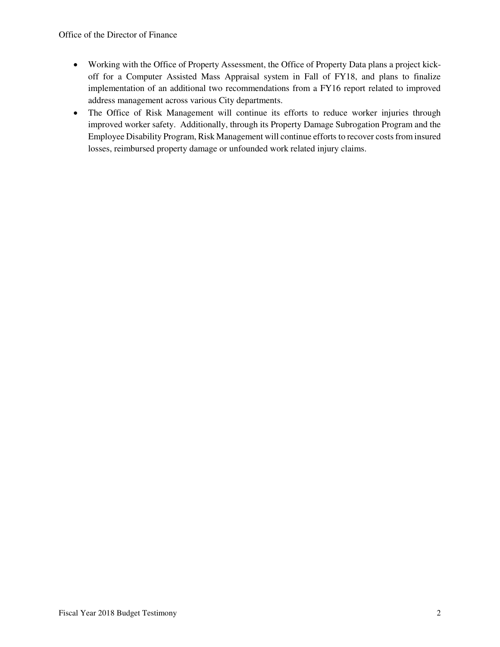- Working with the Office of Property Assessment, the Office of Property Data plans a project kickoff for a Computer Assisted Mass Appraisal system in Fall of FY18, and plans to finalize implementation of an additional two recommendations from a FY16 report related to improved address management across various City departments.
- The Office of Risk Management will continue its efforts to reduce worker injuries through improved worker safety. Additionally, through its Property Damage Subrogation Program and the Employee Disability Program, Risk Management will continue efforts to recover costs from insured losses, reimbursed property damage or unfounded work related injury claims.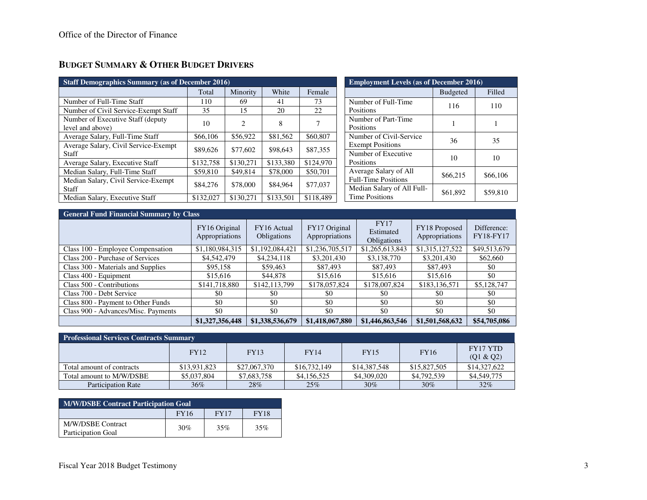# **BUDGET SUMMARY & OTHER BUDGET DRIVERS**

| <b>Staff Demographics Summary (as of December 2016)</b> |           |           |           |           |  |  |  |  |  |
|---------------------------------------------------------|-----------|-----------|-----------|-----------|--|--|--|--|--|
|                                                         | Total     | Minority  | White     | Female    |  |  |  |  |  |
| Number of Full-Time Staff                               | 110       | 69        | 41        | 73        |  |  |  |  |  |
| Number of Civil Service-Exempt Staff                    | 35        | 15        | 20        | 22        |  |  |  |  |  |
| Number of Executive Staff (deputy)<br>level and above)  | 10        | 2         | 8         | 7         |  |  |  |  |  |
| Average Salary, Full-Time Staff                         | \$66,106  | \$56,922  | \$81,562  | \$60,807  |  |  |  |  |  |
| Average Salary, Civil Service-Exempt<br>Staff           | \$89,626  | \$77,602  | \$98,643  | \$87,355  |  |  |  |  |  |
| Average Salary, Executive Staff                         | \$132,758 | \$130.271 | \$133,380 | \$124,970 |  |  |  |  |  |
| Median Salary, Full-Time Staff                          | \$59,810  | \$49.814  | \$78,000  | \$50,701  |  |  |  |  |  |
| Median Salary, Civil Service-Exempt<br>Staff            | \$84,276  | \$78,000  | \$84,964  | \$77,037  |  |  |  |  |  |
| Median Salary, Executive Staff                          | \$132,027 | \$130,271 | \$133,501 | \$118,489 |  |  |  |  |  |

| <b>Employment Levels (as of December 2016)</b>      |                 |          |  |  |  |  |  |  |
|-----------------------------------------------------|-----------------|----------|--|--|--|--|--|--|
|                                                     | <b>Budgeted</b> | Filled   |  |  |  |  |  |  |
| Number of Full-Time<br>Positions                    | 116             | 110      |  |  |  |  |  |  |
| Number of Part-Time<br>Positions                    |                 |          |  |  |  |  |  |  |
| Number of Civil-Service<br><b>Exempt Positions</b>  | 36              | 35       |  |  |  |  |  |  |
| Number of Executive<br>Positions                    | 10              | 10       |  |  |  |  |  |  |
| Average Salary of All<br><b>Full-Time Positions</b> | \$66,215        | \$66,106 |  |  |  |  |  |  |
| Median Salary of All Full-<br><b>Time Positions</b> | \$61,892        | \$59,810 |  |  |  |  |  |  |

| <b>General Fund Financial Summary by Class</b> |                                 |                            |                                 |                                                |                                 |                                 |  |  |  |  |
|------------------------------------------------|---------------------------------|----------------------------|---------------------------------|------------------------------------------------|---------------------------------|---------------------------------|--|--|--|--|
|                                                | FY16 Original<br>Appropriations | FY16 Actual<br>Obligations | FY17 Original<br>Appropriations | <b>FY17</b><br>Estimated<br><b>Obligations</b> | FY18 Proposed<br>Appropriations | Difference:<br><b>FY18-FY17</b> |  |  |  |  |
| Class 100 - Employee Compensation              | \$1,180,984,315                 | \$1,192,084,421            | \$1,236,705,517                 | \$1,265,613,843                                | \$1,315,127,522                 | \$49,513,679                    |  |  |  |  |
| Class 200 - Purchase of Services               | \$4,542,479                     | \$4,234,118                | \$3,201,430                     | \$3,138,770                                    | \$3,201,430                     | \$62,660                        |  |  |  |  |
| Class 300 - Materials and Supplies             | \$95,158                        | \$59,463                   | \$87,493                        | \$87,493                                       | \$87,493                        | \$0                             |  |  |  |  |
| Class 400 - Equipment                          | \$15,616                        | \$44,878                   | \$15,616                        | \$15,616                                       | \$15,616                        | \$0                             |  |  |  |  |
| Class 500 - Contributions                      | \$141,718,880                   | \$142,113,799              | \$178,057,824                   | \$178,007,824                                  | \$183,136,571                   | \$5,128,747                     |  |  |  |  |
| Class 700 - Debt Service                       | \$0                             | \$0                        | \$0                             | <sup>SO</sup>                                  | \$0                             | \$0                             |  |  |  |  |
| Class 800 - Payment to Other Funds             | \$0                             | \$0                        | \$0                             | \$0                                            | \$0                             | \$0                             |  |  |  |  |
| Class 900 - Advances/Misc. Payments            | \$0                             | \$0                        | \$0                             | \$0                                            | \$0                             | \$0                             |  |  |  |  |
|                                                | \$1,327,356,448                 | \$1,338,536,679            | \$1,418,067,880                 | \$1,446,863,546                                | \$1,501,568,632                 | \$54,705,086                    |  |  |  |  |

| <b>Professional Services Contracts Summary</b> |              |              |              |              |              |                       |  |  |  |  |
|------------------------------------------------|--------------|--------------|--------------|--------------|--------------|-----------------------|--|--|--|--|
|                                                | <b>FY12</b>  | <b>FY13</b>  | <b>FY14</b>  | <b>FY15</b>  | <b>FY16</b>  | FY17 YTD<br>(Q1 & Q2) |  |  |  |  |
| Total amount of contracts                      | \$13,931,823 | \$27,067,370 | \$16,732,149 | \$14,387,548 | \$15,827,505 | \$14,327,622          |  |  |  |  |
| Total amount to M/W/DSBE                       | \$5,037,804  | \$7,683,758  | \$4,156,525  | \$4,309,020  | \$4,792,539  | \$4,549,775           |  |  |  |  |
| <b>Participation Rate</b>                      | $36\%$       | 28%          | 25%          | $30\%$       | 30%          | $32\%$                |  |  |  |  |

| <b>M/W/DSBE Contract Participation Goal</b> |             |             |             |  |  |  |  |  |  |
|---------------------------------------------|-------------|-------------|-------------|--|--|--|--|--|--|
|                                             | <b>FY16</b> | <b>FY17</b> | <b>FY18</b> |  |  |  |  |  |  |
| M/W/DSBE Contract<br>Participation Goal     | 30%         | 35%         | 35%         |  |  |  |  |  |  |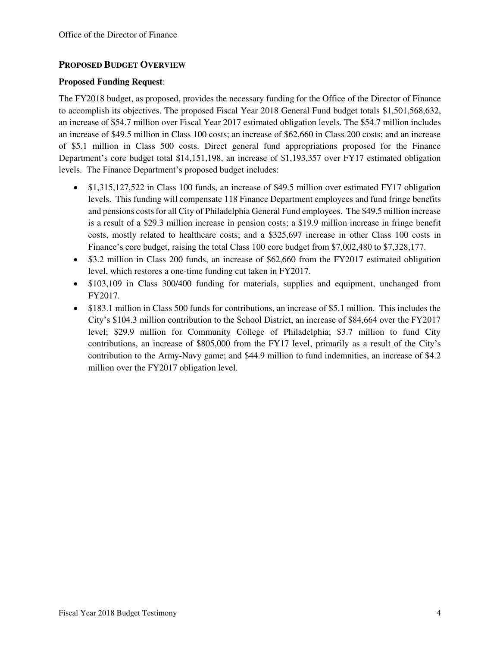#### **PROPOSED BUDGET OVERVIEW**

#### **Proposed Funding Request**:

The FY2018 budget, as proposed, provides the necessary funding for the Office of the Director of Finance to accomplish its objectives. The proposed Fiscal Year 2018 General Fund budget totals \$1,501,568,632, an increase of \$54.7 million over Fiscal Year 2017 estimated obligation levels. The \$54.7 million includes an increase of \$49.5 million in Class 100 costs; an increase of \$62,660 in Class 200 costs; and an increase of \$5.1 million in Class 500 costs. Direct general fund appropriations proposed for the Finance Department's core budget total \$14,151,198, an increase of \$1,193,357 over FY17 estimated obligation levels. The Finance Department's proposed budget includes:

- \$1,315,127,522 in Class 100 funds, an increase of \$49.5 million over estimated FY17 obligation levels. This funding will compensate 118 Finance Department employees and fund fringe benefits and pensions costs for all City of Philadelphia General Fund employees. The \$49.5 million increase is a result of a \$29.3 million increase in pension costs; a \$19.9 million increase in fringe benefit costs, mostly related to healthcare costs; and a \$325,697 increase in other Class 100 costs in Finance's core budget, raising the total Class 100 core budget from \$7,002,480 to \$7,328,177.
- \$3.2 million in Class 200 funds, an increase of \$62,660 from the FY2017 estimated obligation level, which restores a one-time funding cut taken in FY2017.
- \$103,109 in Class 300/400 funding for materials, supplies and equipment, unchanged from FY2017.
- \$183.1 million in Class 500 funds for contributions, an increase of \$5.1 million. This includes the City's \$104.3 million contribution to the School District, an increase of \$84,664 over the FY2017 level; \$29.9 million for Community College of Philadelphia; \$3.7 million to fund City contributions, an increase of \$805,000 from the FY17 level, primarily as a result of the City's contribution to the Army-Navy game; and \$44.9 million to fund indemnities, an increase of \$4.2 million over the FY2017 obligation level.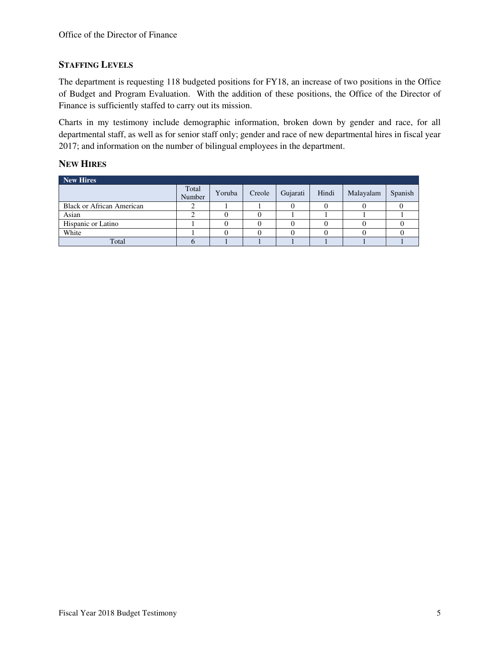#### **STAFFING LEVELS**

The department is requesting 118 budgeted positions for FY18, an increase of two positions in the Office of Budget and Program Evaluation. With the addition of these positions, the Office of the Director of Finance is sufficiently staffed to carry out its mission.

Charts in my testimony include demographic information, broken down by gender and race, for all departmental staff, as well as for senior staff only; gender and race of new departmental hires in fiscal year 2017; and information on the number of bilingual employees in the department.

#### **NEW HIRES**

| <b>New Hires</b>                 |                 |        |        |          |       |           |         |
|----------------------------------|-----------------|--------|--------|----------|-------|-----------|---------|
|                                  | Total<br>Number | Yoruba | Creole | Gujarati | Hindi | Malayalam | Spanish |
| <b>Black or African American</b> |                 |        |        |          |       |           |         |
| Asian                            |                 |        |        |          |       |           |         |
| Hispanic or Latino               |                 |        |        |          |       |           |         |
| White                            |                 |        |        |          |       |           |         |
| Total                            |                 |        |        |          |       |           |         |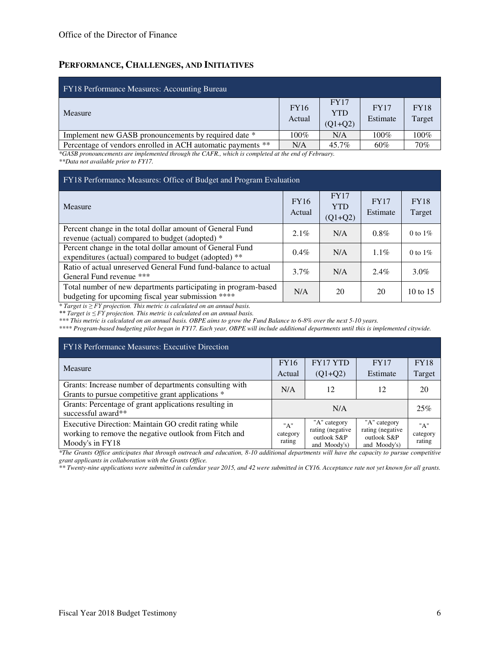#### **PERFORMANCE, CHALLENGES, AND INITIATIVES**

| <b>FY18 Performance Measures: Accounting Bureau</b>         |                       |                                        |                         |                       |
|-------------------------------------------------------------|-----------------------|----------------------------------------|-------------------------|-----------------------|
| Measure                                                     | <b>FY16</b><br>Actual | <b>FY17</b><br><b>YTD</b><br>$(Q1+Q2)$ | <b>FY17</b><br>Estimate | <b>FY18</b><br>Target |
| Implement new GASB pronouncements by required date *        | $100\%$               | N/A                                    | 100%                    | 100%                  |
| Percentage of vendors enrolled in ACH automatic payments ** | N/A                   | 45.7%                                  | $60\%$                  | 70%                   |

*\*GASB pronouncements are implemented through the CAFR., which is completed at the end of February. \*\*Data not available prior to FY17.* 

| FY18 Performance Measures: Office of Budget and Program Evaluation                                                   |                       |                                        |                         |                       |  |  |  |  |  |  |
|----------------------------------------------------------------------------------------------------------------------|-----------------------|----------------------------------------|-------------------------|-----------------------|--|--|--|--|--|--|
| Measure                                                                                                              | <b>FY16</b><br>Actual | <b>FY17</b><br><b>YTD</b><br>$(Q1+Q2)$ | <b>FY17</b><br>Estimate | <b>FY18</b><br>Target |  |  |  |  |  |  |
| Percent change in the total dollar amount of General Fund<br>revenue (actual) compared to budget (adopted) *         | $2.1\%$               | N/A                                    | $0.8\%$                 | 0 to $1\%$            |  |  |  |  |  |  |
| Percent change in the total dollar amount of General Fund<br>expenditures (actual) compared to budget (adopted) **   | $0.4\%$               | N/A                                    | $1.1\%$                 | 0 to $1\%$            |  |  |  |  |  |  |
| Ratio of actual unreserved General Fund fund-balance to actual<br>General Fund revenue ***                           | $3.7\%$               | N/A                                    | $2.4\%$                 | $3.0\%$               |  |  |  |  |  |  |
| Total number of new departments participating in program-based<br>budgeting for upcoming fiscal year submission **** | N/A                   | 20                                     | 20                      | $10 \text{ to } 15$   |  |  |  |  |  |  |

*\* Target is ≥ FY projection. This metric is calculated on an annual basis.* 

*\*\* Target is ≤ FY projection. This metric is calculated on an annual basis.* 

*\*\*\* This metric is calculated on an annual basis. OBPE aims to grow the Fund Balance to 6-8% over the next 5-10 years.* 

*\*\*\*\* Program-based budgeting pilot began in FY17. Each year, OBPE will include additional departments until this is implemented citywide.* 

| <b>FY18 Performance Measures: Executive Direction</b>                                                                            |                           |                                                                  |                                                                  |                           |  |  |  |  |  |  |
|----------------------------------------------------------------------------------------------------------------------------------|---------------------------|------------------------------------------------------------------|------------------------------------------------------------------|---------------------------|--|--|--|--|--|--|
| Measure                                                                                                                          | <b>FY16</b>               | <b>FY17 YTD</b>                                                  | <b>FY17</b>                                                      | <b>FY18</b>               |  |  |  |  |  |  |
|                                                                                                                                  | Actual                    | $(Q1+Q2)$                                                        | Estimate                                                         | Target                    |  |  |  |  |  |  |
| Grants: Increase number of departments consulting with<br>Grants to pursue competitive grant applications *                      | N/A                       | 12                                                               | 12                                                               | 20                        |  |  |  |  |  |  |
| Grants: Percentage of grant applications resulting in<br>successful award**                                                      |                           | 25%                                                              |                                                                  |                           |  |  |  |  |  |  |
| Executive Direction: Maintain GO credit rating while<br>working to remove the negative outlook from Fitch and<br>Moody's in FY18 | "A"<br>category<br>rating | "A" category<br>rating (negative)<br>outlook S&P<br>and Moody's) | "A" category<br>rating (negative)<br>outlook S&P<br>and Moody's) | "A"<br>category<br>rating |  |  |  |  |  |  |

*\*The Grants Office anticipates that through outreach and education, 8-10 additional departments will have the capacity to pursue competitive grant applicants in collaboration with the Grants Office.* 

*\*\* Twenty-nine applications were submitted in calendar year 2015, and 42 were submitted in CY16. Acceptance rate not yet known for all grants.*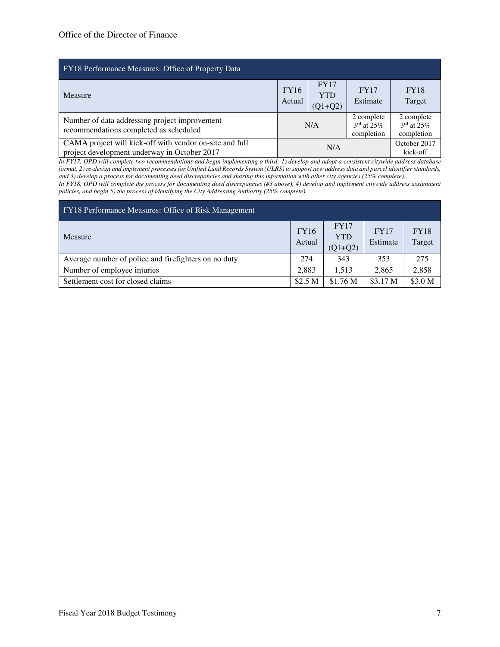| FY18 Performance Measures: Office of Property Data                                                      |                       |                                        |                                                       |                                          |
|---------------------------------------------------------------------------------------------------------|-----------------------|----------------------------------------|-------------------------------------------------------|------------------------------------------|
| Measure                                                                                                 | <b>FY16</b><br>Actual | <b>FY17</b><br><b>YTD</b><br>$(Q1+Q2)$ | <b>FY17</b><br>Estimate                               | <b>FY18</b><br>Target                    |
| Number of data addressing project improvement<br>recommendations completed as scheduled                 |                       | N/A                                    | 2 complete<br>$3^{\text{rd}}$ at $25\%$<br>completion | 2 complete<br>$3rd$ at 25%<br>completion |
| CAMA project will kick-off with vendor on-site and full<br>project development underway in October 2017 |                       | N/A                                    |                                                       | October 2017<br>kick-off                 |

*In FY17, OPD will complete two recommendations and begin implementing a third: 1) develop and adopt a consistent citywide address database format, 2) re-design and implement processes for Unified Land Records System (ULRS) to support new address data and parcel identifier standards, and 3) develop a process for documenting deed discrepancies and sharing this information with other city agencies (25% complete).* 

*In FY18, OPD will complete the process for documenting deed discrepancies (#3 above), 4) develop and implement citywide address assignment policies, and begin 5) the process of identifying the City Addressing Authority (25% complete).* 

| FY18 Performance Measures: Office of Risk Management |                       |                                        |                         |                       |  |  |  |  |  |  |
|------------------------------------------------------|-----------------------|----------------------------------------|-------------------------|-----------------------|--|--|--|--|--|--|
| Measure                                              | <b>FY16</b><br>Actual | <b>FY17</b><br><b>YTD</b><br>$(Q1+Q2)$ | <b>FY17</b><br>Estimate | <b>FY18</b><br>Target |  |  |  |  |  |  |
| Average number of police and firefighters on no duty | 274                   | 343                                    | 353                     | 275                   |  |  |  |  |  |  |
| Number of employee injuries                          | 2.883                 | 1.513                                  | 2,865                   | 2,858                 |  |  |  |  |  |  |
| Settlement cost for closed claims                    | \$2.5 <sub>M</sub>    | \$1.76 M                               | \$3.17 M                | \$3.0 M               |  |  |  |  |  |  |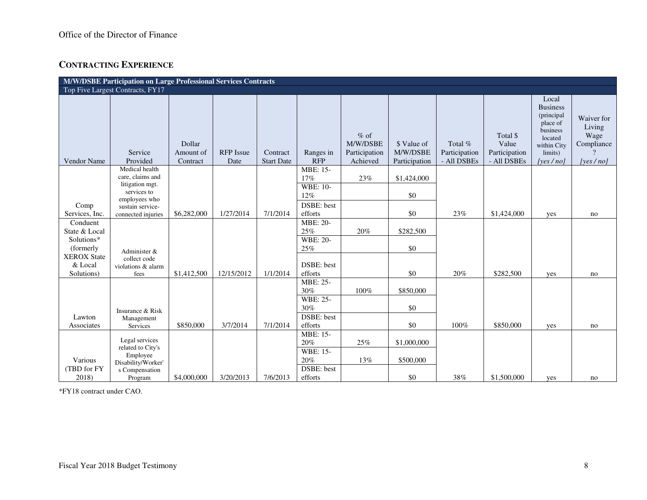### **CONTRACTING EXPERIENCE**

|                             | M/W/DSBE Participation on Large Professional Services Contracts<br>Top Five Largest Contracts, FY17 |                                 |                          |                               |                                      |                                                 |                                          |                                         |                                                   |                                                                                                                     |                                                            |
|-----------------------------|-----------------------------------------------------------------------------------------------------|---------------------------------|--------------------------|-------------------------------|--------------------------------------|-------------------------------------------------|------------------------------------------|-----------------------------------------|---------------------------------------------------|---------------------------------------------------------------------------------------------------------------------|------------------------------------------------------------|
|                             |                                                                                                     |                                 |                          |                               |                                      |                                                 |                                          |                                         |                                                   |                                                                                                                     |                                                            |
| Vendor Name                 | Service<br>Provided                                                                                 | Dollar<br>Amount of<br>Contract | <b>RFP</b> Issue<br>Date | Contract<br><b>Start Date</b> | Ranges in<br><b>RFP</b>              | $%$ of<br>M/W/DSBE<br>Participation<br>Achieved | \$ Value of<br>M/W/DSBE<br>Participation | Total %<br>Participation<br>- All DSBEs | Total \$<br>Value<br>Participation<br>- All DSBEs | Local<br><b>Business</b><br>(principal<br>place of<br>business<br>located<br>within City<br>limits)<br>[yes $/no$ ] | Waiver for<br>Living<br>Wage<br>Compliance<br>[yes $/no$ ] |
|                             | Medical health<br>care, claims and                                                                  |                                 |                          |                               | $\overline{\text{MBE}}$ : 15-<br>17% |                                                 |                                          |                                         |                                                   |                                                                                                                     |                                                            |
|                             | litigation mgt.                                                                                     |                                 |                          |                               | <b>WBE: 10-</b>                      | 23%                                             | \$1,424,000                              |                                         |                                                   |                                                                                                                     |                                                            |
|                             | services to<br>employees who                                                                        |                                 |                          |                               | 12%                                  |                                                 | \$0                                      |                                         |                                                   |                                                                                                                     |                                                            |
| Comp                        | sustain service-                                                                                    |                                 |                          |                               | DSBE: best                           |                                                 |                                          |                                         |                                                   |                                                                                                                     |                                                            |
| Services, Inc.              | connected injuries                                                                                  | \$6,282,000                     | 1/27/2014                | 7/1/2014                      | efforts                              |                                                 | \$0                                      | 23%                                     | \$1,424,000                                       | yes                                                                                                                 | no                                                         |
| Conduent                    |                                                                                                     |                                 |                          |                               | <b>MBE: 20-</b>                      | 20%                                             |                                          |                                         |                                                   |                                                                                                                     |                                                            |
| State & Local<br>Solutions* |                                                                                                     |                                 |                          |                               | 25%<br><b>WBE: 20-</b>               |                                                 | \$282,500                                |                                         |                                                   |                                                                                                                     |                                                            |
| (formerly)                  | Administer &                                                                                        |                                 |                          |                               | 25%                                  |                                                 | \$0                                      |                                         |                                                   |                                                                                                                     |                                                            |
| <b>XEROX State</b>          | collect code                                                                                        |                                 |                          |                               |                                      |                                                 |                                          |                                         |                                                   |                                                                                                                     |                                                            |
| & Local                     | violations & alarm                                                                                  |                                 |                          |                               | DSBE: best                           |                                                 |                                          |                                         |                                                   |                                                                                                                     |                                                            |
| Solutions)                  | fees                                                                                                | \$1,412,500                     | 12/15/2012               | 1/1/2014                      | efforts                              |                                                 | \$0                                      | 20%                                     | \$282,500                                         | yes                                                                                                                 | no                                                         |
|                             |                                                                                                     |                                 |                          |                               | MBE: 25-<br>30%                      | $100\%$                                         | \$850,000                                |                                         |                                                   |                                                                                                                     |                                                            |
|                             |                                                                                                     |                                 |                          |                               | <b>WBE: 25-</b>                      |                                                 |                                          |                                         |                                                   |                                                                                                                     |                                                            |
|                             | Insurance & Risk                                                                                    |                                 |                          |                               | 30%                                  |                                                 | \$0                                      |                                         |                                                   |                                                                                                                     |                                                            |
| Lawton                      | Management                                                                                          |                                 |                          |                               | <b>DSBE</b> : best                   |                                                 |                                          |                                         |                                                   |                                                                                                                     |                                                            |
| Associates                  | Services                                                                                            | \$850,000                       | 3/7/2014                 | 7/1/2014                      | efforts                              |                                                 | \$0                                      | 100%                                    | \$850,000                                         | yes                                                                                                                 | no                                                         |
|                             | Legal services                                                                                      |                                 |                          |                               | MBE: 15-                             |                                                 |                                          |                                         |                                                   |                                                                                                                     |                                                            |
|                             | related to City's                                                                                   |                                 |                          |                               | 20%<br>WBE: 15-                      | 25%                                             | \$1,000,000                              |                                         |                                                   |                                                                                                                     |                                                            |
| Various                     | Employee                                                                                            |                                 |                          |                               | 20%                                  | 13%                                             | \$500,000                                |                                         |                                                   |                                                                                                                     |                                                            |
| (TBD for FY                 | Disability/Worker'<br>s Compensation                                                                |                                 |                          |                               | <b>DSBE</b> : best                   |                                                 |                                          |                                         |                                                   |                                                                                                                     |                                                            |
| 2018)                       | Program                                                                                             | \$4,000,000                     | 3/20/2013                | 7/6/2013                      | efforts                              |                                                 | \$0                                      | 38%                                     | \$1,500,000                                       | yes                                                                                                                 | no                                                         |

\*FY18 contract under CAO.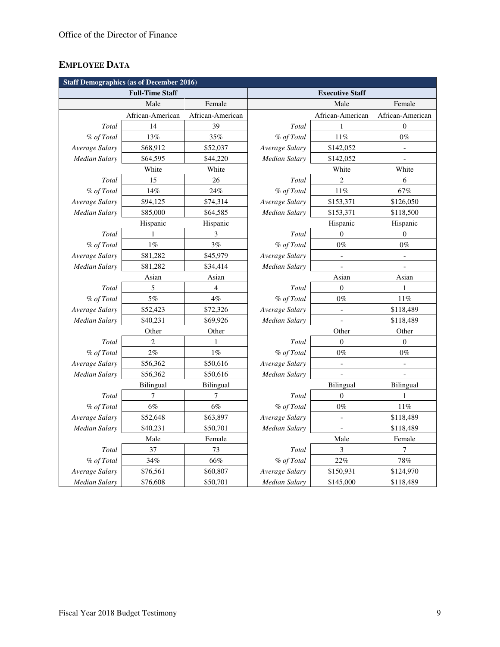# **EMPLOYEE DATA**

| <b>Staff Demographics (as of December 2016)</b> |                        |                  |                        |                          |                          |  |  |  |  |  |  |
|-------------------------------------------------|------------------------|------------------|------------------------|--------------------------|--------------------------|--|--|--|--|--|--|
|                                                 | <b>Full-Time Staff</b> |                  | <b>Executive Staff</b> |                          |                          |  |  |  |  |  |  |
|                                                 | Male                   | Female           |                        | Male                     | Female                   |  |  |  |  |  |  |
|                                                 | African-American       | African-American |                        | African-American         | African-American         |  |  |  |  |  |  |
| Total                                           | 14                     | 39               | Total                  |                          | $\boldsymbol{0}$         |  |  |  |  |  |  |
| % of Total                                      | 13%                    | 35%              | % of Total             | 11%                      | $0\%$                    |  |  |  |  |  |  |
| Average Salary                                  | \$68,912               | \$52,037         | Average Salary         | \$142,052                | $\overline{\phantom{a}}$ |  |  |  |  |  |  |
| Median Salary                                   | \$64,595               | \$44,220         | Median Salary          | \$142,052                | $\overline{\phantom{a}}$ |  |  |  |  |  |  |
|                                                 | White<br>White         |                  |                        | White                    |                          |  |  |  |  |  |  |
| Total                                           | 15                     | 26               | Total                  | $\overline{2}$           | 6                        |  |  |  |  |  |  |
| % of Total                                      | 14%                    | 24%              | % of Total             | 11%                      | 67%                      |  |  |  |  |  |  |
| Average Salary                                  | \$94,125               | \$74,314         | Average Salary         | \$153,371                | \$126,050                |  |  |  |  |  |  |
| Median Salary                                   | \$85,000               | \$64,585         | <b>Median Salary</b>   | \$153,371                |                          |  |  |  |  |  |  |
|                                                 | Hispanic               | Hispanic         |                        | Hispanic                 | Hispanic                 |  |  |  |  |  |  |
| Total                                           | $\mathbf{1}$           | $\mathfrak{Z}$   | Total                  | $\mathbf{0}$             | $\boldsymbol{0}$         |  |  |  |  |  |  |
| % of Total                                      | $1\%$                  | 3%               | % of Total             | $0\%$                    | $0\%$                    |  |  |  |  |  |  |
| Average Salary                                  | \$81,282               | \$45,979         | Average Salary         |                          | $\overline{a}$           |  |  |  |  |  |  |
| Median Salary                                   | \$81,282               | \$34,414         | Median Salary          |                          | $\overline{a}$           |  |  |  |  |  |  |
| Asian                                           |                        | Asian            |                        | Asian                    | Asian                    |  |  |  |  |  |  |
| Total                                           | 5                      | $\overline{4}$   | Total                  | $\overline{0}$           | $\mathbf{1}$             |  |  |  |  |  |  |
| % of Total                                      | $5\%$                  | 4%               | % of Total             | $0\%$                    | 11%                      |  |  |  |  |  |  |
| Average Salary                                  | \$52,423               | \$72,326         | Average Salary         | $\overline{\phantom{a}}$ | \$118,489                |  |  |  |  |  |  |
| Median Salary                                   | \$40,231               | \$69,926         | Median Salary          | $\blacksquare$           | \$118,489                |  |  |  |  |  |  |
|                                                 | Other                  | Other            |                        | Other                    |                          |  |  |  |  |  |  |
| Total                                           | $\overline{c}$         | 1                | Total                  | $\boldsymbol{0}$         | $\boldsymbol{0}$         |  |  |  |  |  |  |
| % of Total                                      | 2%                     | $1\%$            | % of Total<br>$0\%$    |                          | $0\%$                    |  |  |  |  |  |  |
| Average Salary                                  | \$56,362               | \$50,616         | Average Salary         |                          | $\overline{\phantom{a}}$ |  |  |  |  |  |  |
| Median Salary                                   | \$56,362               | \$50,616         | Median Salary          |                          |                          |  |  |  |  |  |  |
|                                                 | <b>Bilingual</b>       | <b>Bilingual</b> |                        | Bilingual                | Bilingual                |  |  |  |  |  |  |
| Total                                           | 7                      | 7                | Total                  | $\boldsymbol{0}$         | $\mathbf{1}$             |  |  |  |  |  |  |
| % of Total                                      | $6\%$                  | 6%               | % of Total             | $0\%$                    | $11\%$                   |  |  |  |  |  |  |
| Average Salary                                  | \$52,648               | \$63,897         | Average Salary         | $\overline{a}$           | \$118,489                |  |  |  |  |  |  |
| <b>Median Salary</b>                            | \$40,231               | \$50,701         | <b>Median Salary</b>   |                          | \$118,489                |  |  |  |  |  |  |
|                                                 | Male                   | Female           | Male                   |                          | Female                   |  |  |  |  |  |  |
| Total                                           | 37                     | 73               | Total                  | 3                        | 7                        |  |  |  |  |  |  |
| % of Total                                      | 34%                    | 66%              | % of Total             | 22%                      | 78%                      |  |  |  |  |  |  |
| Average Salary                                  | \$76,561               | \$60,807         | Average Salary         | \$150,931                | \$124,970                |  |  |  |  |  |  |
| <b>Median Salary</b>                            | \$76,608               | \$50,701         | <b>Median Salary</b>   | \$145,000                | \$118,489                |  |  |  |  |  |  |